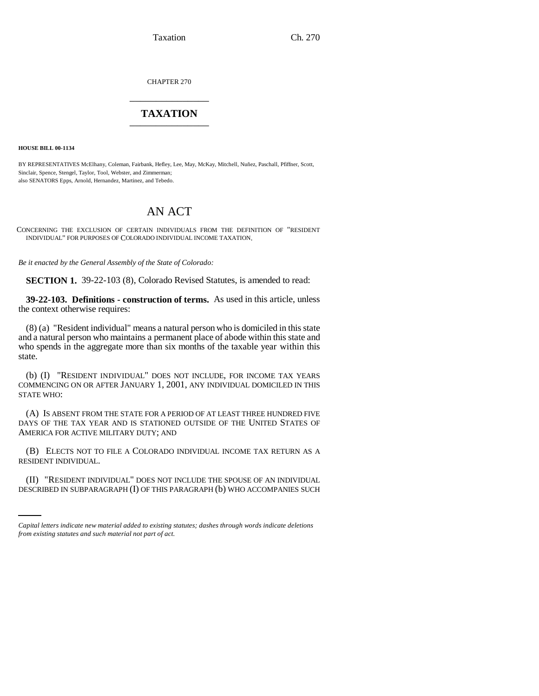Taxation Ch. 270

CHAPTER 270 \_\_\_\_\_\_\_\_\_\_\_\_\_\_\_

## **TAXATION** \_\_\_\_\_\_\_\_\_\_\_\_\_\_\_

**HOUSE BILL 00-1134** 

BY REPRESENTATIVES McElhany, Coleman, Fairbank, Hefley, Lee, May, McKay, Mitchell, Nuñez, Paschall, Pfiffner, Scott, Sinclair, Spence, Stengel, Taylor, Tool, Webster, and Zimmerman; also SENATORS Epps, Arnold, Hernandez, Martinez, and Tebedo.

## AN ACT

CONCERNING THE EXCLUSION OF CERTAIN INDIVIDUALS FROM THE DEFINITION OF "RESIDENT INDIVIDUAL" FOR PURPOSES OF COLORADO INDIVIDUAL INCOME TAXATION.

*Be it enacted by the General Assembly of the State of Colorado:*

**SECTION 1.** 39-22-103 (8), Colorado Revised Statutes, is amended to read:

**39-22-103. Definitions - construction of terms.** As used in this article, unless the context otherwise requires:

(8) (a) "Resident individual" means a natural person who is domiciled in this state and a natural person who maintains a permanent place of abode within this state and who spends in the aggregate more than six months of the taxable year within this state.

(b) (I) "RESIDENT INDIVIDUAL" DOES NOT INCLUDE, FOR INCOME TAX YEARS COMMENCING ON OR AFTER JANUARY 1, 2001, ANY INDIVIDUAL DOMICILED IN THIS STATE WHO:

(A) IS ABSENT FROM THE STATE FOR A PERIOD OF AT LEAST THREE HUNDRED FIVE DAYS OF THE TAX YEAR AND IS STATIONED OUTSIDE OF THE UNITED STATES OF AMERICA FOR ACTIVE MILITARY DUTY; AND

(B) ELECTS NOT TO FILE A COLORADO INDIVIDUAL INCOME TAX RETURN AS A RESIDENT INDIVIDUAL.

(II) "RESIDENT INDIVIDUAL" DOES NOT INCLUDE THE SPOUSE OF AN INDIVIDUAL DESCRIBED IN SUBPARAGRAPH (I) OF THIS PARAGRAPH (b) WHO ACCOMPANIES SUCH

*Capital letters indicate new material added to existing statutes; dashes through words indicate deletions from existing statutes and such material not part of act.*